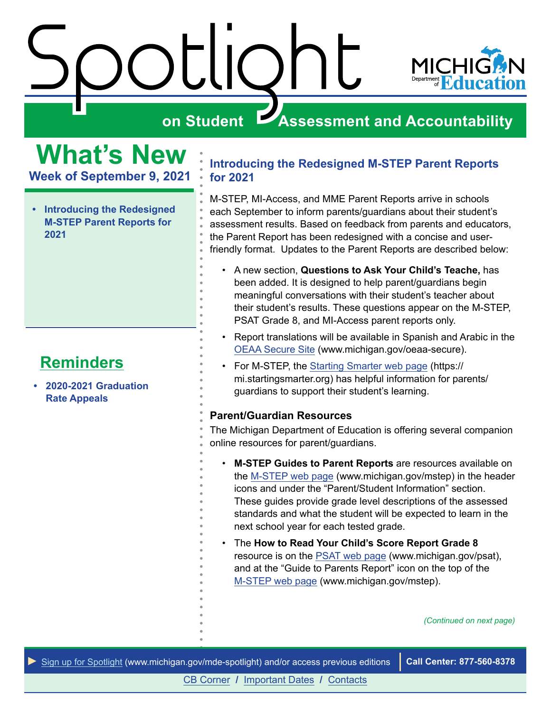

### <span id="page-0-0"></span>**What's New**

**Week of September 9, 2021**

**• Introducing the Redesigned M-STEP Parent Reports for 2021**

#### **Reminders**

**• 2020-2021 Graduation Rate Appeals**

#### **Introducing the Redesigned M-STEP Parent Reports for 2021**

M-STEP, MI-Access, and MME Parent Reports arrive in schools each September to inform parents/guardians about their student's assessment results. Based on feedback from parents and educators, the Parent Report has been redesigned with a concise and userfriendly format. Updates to the Parent Reports are described below:

- A new section, **Questions to Ask Your Child's Teache,** has been added. It is designed to help parent/guardians begin meaningful conversations with their student's teacher about their student's results. These questions appear on the M-STEP, PSAT Grade 8, and MI-Access parent reports only.
- Report translations will be available in Spanish and Arabic in the [OEAA Secure Site](http://www.michigan.gov/oeaa-secure) (www.michigan.gov/oeaa-secure).
- For M-STEP, the [Starting Smarter web page](https://mi.startingsmarter.org) (https:// mi.startingsmarter.org) has helpful information for parents/ guardians to support their student's learning.

#### **Parent/Guardian Resources**

The Michigan Department of Education is offering several companion online resources for parent/guardians.

- **M-STEP Guides to Parent Reports** are resources available on the [M-STEP web page](http://www.michigan.gov/mstep) (www.michigan.gov/mstep) in the header icons and under the "Parent/Student Information" section. These guides provide grade level descriptions of the assessed standards and what the student will be expected to learn in the next school year for each tested grade.
- The **How to Read Your Child's Score Report Grade 8** resource is on the [PSAT web page](http://www.michigan.gov/psat) (www.michigan.gov/psat), and at the "Guide to Parents Report" icon on the top of the [M-STEP web page](http://www.michigan.gov/mstep) (www.michigan.gov/mstep).

*(Continued on next page)*

*►* [Sign up for Spotlight](https://public.govdelivery.com/accounts/MIMDE/subscriber/new) [\(www.michigan.gov/mde](www.michigan.gov/mde-spotlight)-spotlight) and/or access previous editions **Call Center: 877-560-8378**

[CB Corner](#page-2-0) **/** [Important Dates](#page-4-0) **/** [Contacts](#page-5-0)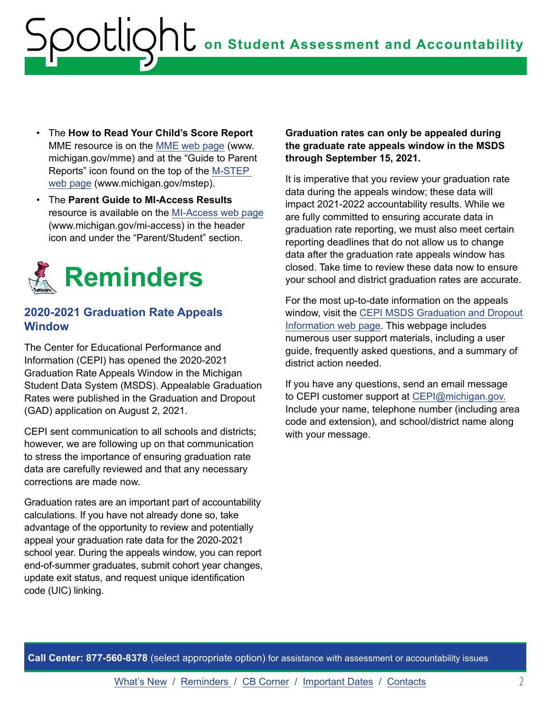- The **How to Read Your Child's Score Report**  MME resource is on the [MME web page](http://www.michigan.gov/mme) (www. michigan.gov/mme) and at the "Guide to Parent Reports" icon found on the top of the [M-STEP](http://www.michigan.gov/mstep)  [web page](http://www.michigan.gov/mstep) (www.michigan.gov/mstep).
- The **Parent Guide to MI-Access Results**  resource is available on the [MI-Access web page](http://www.michigan.gov/mi-access) (www.michigan.gov/mi-access) in the header icon and under the "Parent/Student" section.



#### **2020-2021 Graduation Rate Appeals Window**

The Center for Educational Performance and Information (CEPI) has opened the 2020-2021 Graduation Rate Appeals Window in the Michigan Student Data System (MSDS). Appealable Graduation Rates were published in the Graduation and Dropout (GAD) application on August 2, 2021.

CEPI sent communication to all schools and districts; however, we are following up on that communication to stress the importance of ensuring graduation rate data are carefully reviewed and that any necessary corrections are made now.

Graduation rates are an important part of accountability calculations. If you have not already done so, take advantage of the opportunity to review and potentially appeal your graduation rate data for the 2020-2021 school year. During the appeals window, you can report end-of-summer graduates, submit cohort year changes, update exit status, and request unique identification code (UIC) linking.

**Graduation rates can only be appealed during the graduate rate appeals window in the MSDS through September 15, 2021.**

It is imperative that you review your graduation rate data during the appeals window; these data will impact 2021-2022 accountability results. While we are fully committed to ensuring accurate data in graduation rate reporting, we must also meet certain reporting deadlines that do not allow us to change data after the graduation rate appeals window has closed. Take time to review these data now to ensure your school and district graduation rates are accurate.

For the most up-to-date information on the appeals window, visit the [CEPI MSDS Graduation and Dropout](http://www.michigan.gov/cepi/0,1607,7-113-986_50502_56418---,00.html) [Information web page](http://www.michigan.gov/cepi/0,1607,7-113-986_50502_56418---,00.html). This webpage includes numerous user support materials, including a user guide, frequently asked questions, and a summary of district action needed.

If you have any questions, send an email message to CEPI customer support at [CEPI@michigan.gov.](mailto:CEPI%40michigan.gov?subject=Graduation%20Rate%20Appeal) Include your name, telephone number (including area code and extension), and school/district name along with your message.

**Call Center: 877-560-8378** (select appropriate option) for assistance with assessment or accountability issues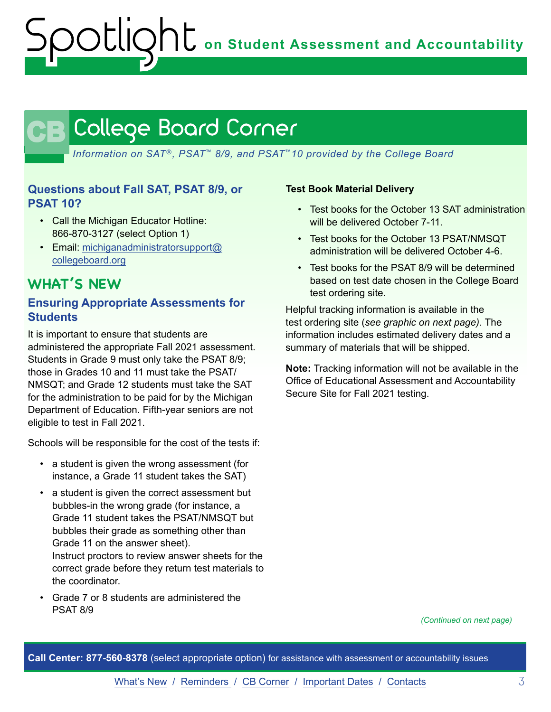## <span id="page-2-0"></span>CB

*Information on SAT*®*, PSAT*™ *8/9, and PSAT*™*10 provided by the College Board*

#### **Questions about Fall SAT, PSAT 8/9, or PSAT 10?**

- Call the Michigan Educator Hotline: 866-870-3127 (select Option 1)
- Email: [michiganadministratorsupport@](mailto:michiganadministratorsupport%40collegeboard.org?subject=) [collegeboard.org](mailto:michiganadministratorsupport%40collegeboard.org?subject=)

#### **WHAT'S NEW**

#### **Ensuring Appropriate Assessments for Students**

It is important to ensure that students are administered the appropriate Fall 2021 assessment. Students in Grade 9 must only take the PSAT 8/9; those in Grades 10 and 11 must take the PSAT/ NMSQT; and Grade 12 students must take the SAT for the administration to be paid for by the Michigan Department of Education. Fifth-year seniors are not eligible to test in Fall 2021.

Schools will be responsible for the cost of the tests if:

- a student is given the wrong assessment (for instance, a Grade 11 student takes the SAT)
- a student is given the correct assessment but bubbles-in the wrong grade (for instance, a Grade 11 student takes the PSAT/NMSQT but bubbles their grade as something other than Grade 11 on the answer sheet). Instruct proctors to review answer sheets for the correct grade before they return test materials to
- Grade 7 or 8 students are administered the PSAT 8/9

the coordinator.

#### **Test Book Material Delivery**

- Test books for the October 13 SAT administration will be delivered October 7-11.
- Test books for the October 13 PSAT/NMSQT administration will be delivered October 4-6.
- Test books for the PSAT 8/9 will be determined based on test date chosen in the College Board test ordering site.

Helpful tracking information is available in the test ordering site (*see graphic on next page).* The information includes estimated delivery dates and a summary of materials that will be shipped.

**Note:** Tracking information will not be available in the Office of Educational Assessment and Accountability Secure Site for Fall 2021 testing.

*(Continued on next page)*

**Call Center: 877-560-8378** (select appropriate option) for assistance with assessment or accountability issues

[What's New](#page-0-0) / Reminders / CB Corner / [Important Dates](#page-4-0) / [Contacts](#page-5-0) 3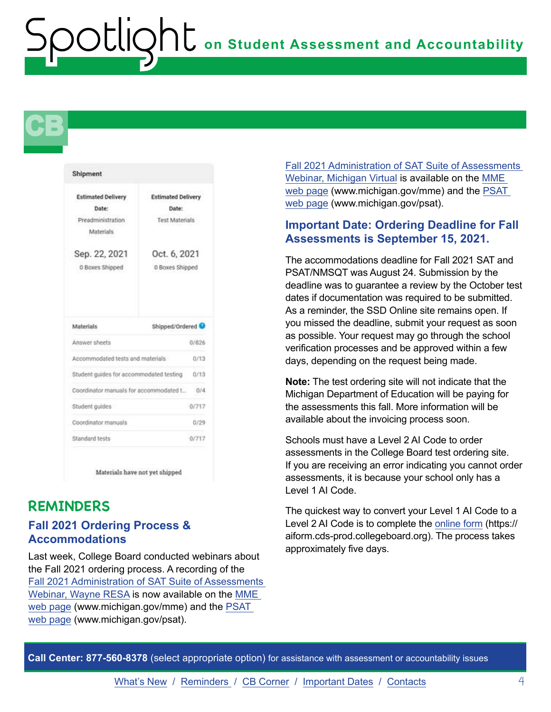## **CB**

| <b>Estimated Delivery</b>               | <b>Estimated Delivery</b>    |
|-----------------------------------------|------------------------------|
| Date:                                   | Date:                        |
| Preadministration                       | <b>Test Materials</b>        |
| Materials                               |                              |
| Sep. 22, 2021                           | Oct. 6, 2021                 |
| 0 Boxes Shipped                         | 0 Boxes Shipped              |
| Materials                               | Shipped/Ordered <sup>O</sup> |
| Answer sheets                           | 0/826                        |
| Accommodated tests and materials        | 0/13                         |
| Student guides for accommodated testing | 0/13                         |
| Coordinator manuals for accommodated t  | 0/4                          |
| Student guides                          | 0/717                        |
| Coordinator manuals                     | 0/29                         |
| Standard tests                          | 0/717                        |

#### **REMINDERS**

#### **Fall 2021 Ordering Process & Accommodations**

Last week, College Board conducted webinars about the Fall 2021 ordering process. A recording of the [Fall 2021 Administration of SAT Suite of Assessments](https://mistreamnet.eduvision.tv/Default.aspx?q=3SfVi13wT7SuVavDa10zJHfJBhsJkHGrh7orwU%252f0YSe5KH%252bzxzuOxw%253d%253d)  [Webinar, Wayne RESA](https://mistreamnet.eduvision.tv/Default.aspx?q=3SfVi13wT7SuVavDa10zJHfJBhsJkHGrh7orwU%252f0YSe5KH%252bzxzuOxw%253d%253d) is now available on the [MME](http://www.michigan.gov/mme)  [web page](http://www.michigan.gov/mme) (www.michigan.gov/mme) and the [PSAT](http://www.michigan.gov/psat)  [web page](http://www.michigan.gov/psat) (www.michigan.gov/psat).

[Fall 2021 Administration of SAT Suite of Assessments](https://michiganvirtual.org/webinar/fall-2021-administration-of-the-sat-suite-of-assessments/?utm_campaign=Partner%20Webinars&utm_medium=email&_hsmi=155519331&_hsenc=p2ANqtz-9IJpsmdtkBZV3mEpqKUZGJuc3rL88Bkyvx1X8pGLh6-MsxaQjbhKiJlS61OENzuTL2iPVZLHaBNoA72WB)  [Webinar, Michigan Virtual](https://michiganvirtual.org/webinar/fall-2021-administration-of-the-sat-suite-of-assessments/?utm_campaign=Partner%20Webinars&utm_medium=email&_hsmi=155519331&_hsenc=p2ANqtz-9IJpsmdtkBZV3mEpqKUZGJuc3rL88Bkyvx1X8pGLh6-MsxaQjbhKiJlS61OENzuTL2iPVZLHaBNoA72WB) is available on the [MME](http://www.michigan.gov/mme)  [web page](http://www.michigan.gov/mme) (www.michigan.gov/mme) and the [PSAT](http://www.michigan.gov/psat)  [web page](http://www.michigan.gov/psat) (www.michigan.gov/psat).

#### **Important Date: Ordering Deadline for Fall Assessments is September 15, 2021.**

The accommodations deadline for Fall 2021 SAT and PSAT/NMSQT was August 24. Submission by the deadline was to guarantee a review by the October test dates if documentation was required to be submitted. As a reminder, the SSD Online site remains open. If you missed the deadline, submit your request as soon as possible. Your request may go through the school verification processes and be approved within a few days, depending on the request being made.

**Note:** The test ordering site will not indicate that the Michigan Department of Education will be paying for the assessments this fall. More information will be available about the invoicing process soon.

Schools must have a Level 2 AI Code to order assessments in the College Board test ordering site. If you are receiving an error indicating you cannot order assessments, it is because your school only has a Level 1 AI Code.

The quickest way to convert your Level 1 AI Code to a Level 2 AI Code is to complete the [online form](https://aiform.cds-prod.collegeboard.org) (https:// aiform.cds-prod.collegeboard.org). The process takes approximately five days.

**Call Center: 877-560-8378** (select appropriate option) for assistance with assessment or accountability issues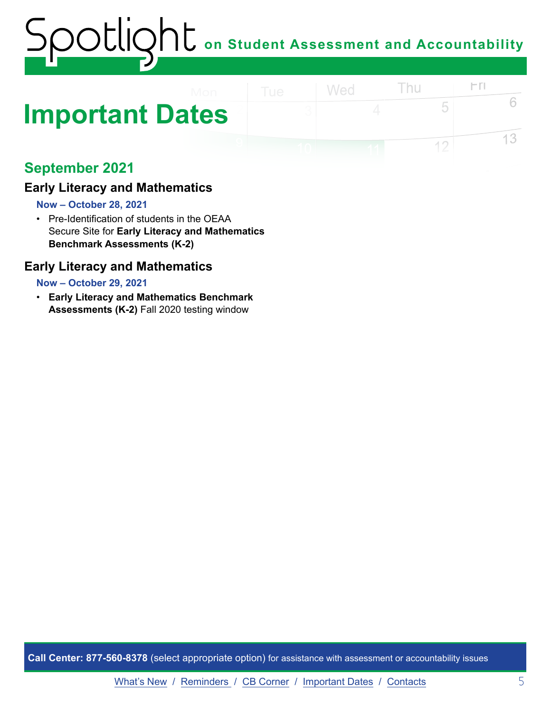### <span id="page-4-0"></span>**Important Dates**

#### **September 2021**

#### **Early Literacy and Mathematics**

#### **Now – October 28, 2021**

• Pre-Identification of students in the OEAA Secure Site for **Early Literacy and Mathematics Benchmark Assessments (K-2)** 

#### **Early Literacy and Mathematics**

#### **Now – October 29, 2021**

• **Early Literacy and Mathematics Benchmark Assessments (K-2)** Fall 2020 testing window

**Call Center: 877-560-8378** (select appropriate option) for assistance with assessment or accountability issues

 $\Gamma$ 

5

 $12$ 

6

13

Thu

Wed